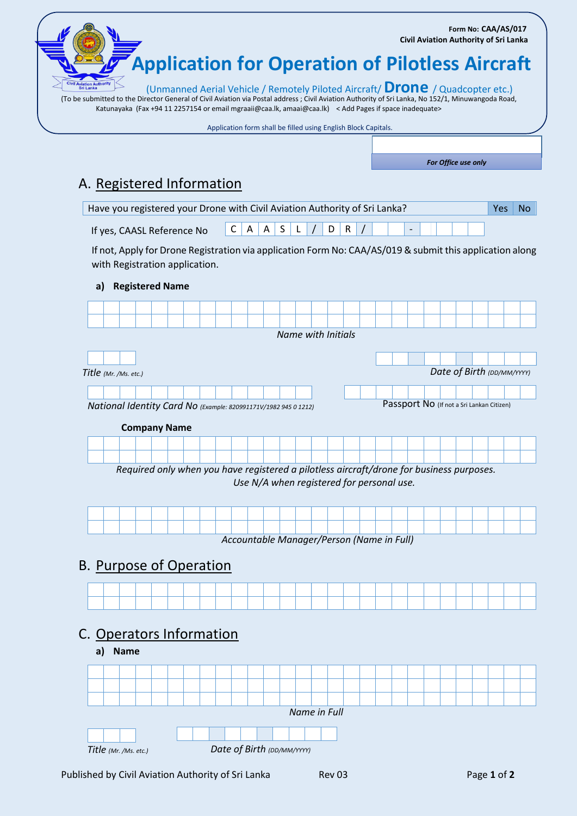(To be submitted to the Director General of Civil Aviation via Postal address ; Civil Aviation Authority of Sri Lanka, No 152/1, Minuwangoda Road, Katunayaka (Fax +94 11 2257154 or email mgraaii@caa.lk, amaai@caa.lk) < Add Pages if space inadequate> **Application for Operation of Pilotless Aircraft** (Unmanned Aerial Vehicle / Remotely Piloted Aircraft/ **Drone** / Quadcopter etc.)  **Form No: CAA/AS/017 Civil Aviation Authority of Sri Lanka**

| Application form shall be filled using English Block Capitals. |  |  |  |  |
|----------------------------------------------------------------|--|--|--|--|
|                                                                |  |  |  |  |
|                                                                |  |  |  |  |

*For Office use only*

## A. Registered Information

| Have you registered your Drone with Civil Aviation Authority of Sri Lanka? |  |  |  |  |  |  |  |  |                         |  | No. |  |  |  |  |  |  |
|----------------------------------------------------------------------------|--|--|--|--|--|--|--|--|-------------------------|--|-----|--|--|--|--|--|--|
| If yes, CAASL Reference No                                                 |  |  |  |  |  |  |  |  | $ C A A S L / D R / I $ |  |     |  |  |  |  |  |  |

If not, Apply for Drone Registration via application Form No: CAA/AS/019 & submit this application along with Registration application.

## **a) Registered Name**